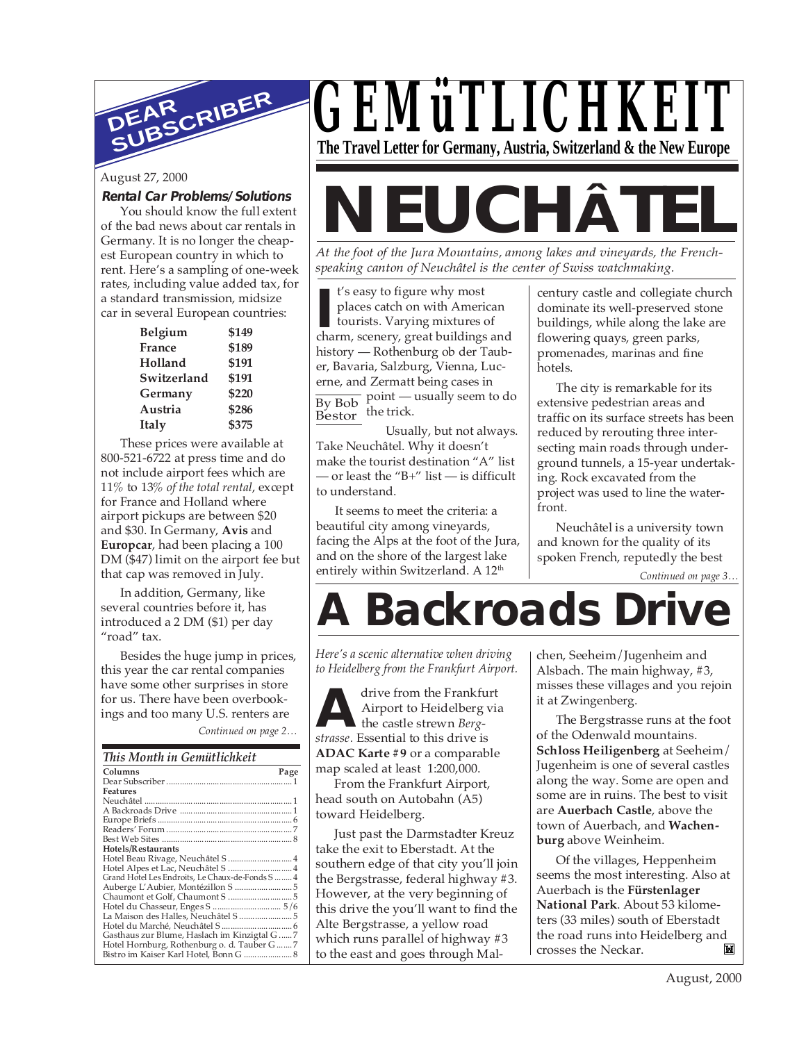

August 27, 2000

### **Rental Car Problems/Solutions**

You should know the full extent of the bad news about car rentals in Germany. It is no longer the cheapest European country in which to rent. Here's a sampling of one-week rates, including value added tax, for a standard transmission, midsize car in several European countries:

| Belgium      | \$149 |
|--------------|-------|
| France       | \$189 |
| Holland      | \$191 |
| Switzerland  | \$191 |
| Germany      | \$220 |
| Austria      | \$286 |
| <b>Italy</b> | \$375 |

These prices were available at 800-521-6722 at press time and do not include airport fees which are 11% to 13% *of the total rental*, except for France and Holland where airport pickups are between \$20 and \$30. In Germany, **Avis** and **Europcar**, had been placing a 100 DM (\$47) limit on the airport fee but that cap was removed in July.

In addition, Germany, like several countries before it, has introduced a 2 DM (\$1) per day "road" tax.

Besides the huge jump in prices, this year the car rental companies have some other surprises in store for us. There have been overbookings and too many U.S. renters are

|  |  | Continued on page 2 |  |  |  |  |
|--|--|---------------------|--|--|--|--|
|--|--|---------------------|--|--|--|--|

| This Month in Gemütlichkeit                      |
|--------------------------------------------------|
| Columns<br>Page                                  |
|                                                  |
| <b>Features</b>                                  |
|                                                  |
|                                                  |
|                                                  |
|                                                  |
|                                                  |
| Hotels/Restaurants                               |
| Hotel Beau Rivage, Neuchâtel S  4                |
| Hotel Alpes et Lac, Neuchâtel S  4               |
| Grand Hotel Les Endroits, Le Chaux-de-Fonds S  4 |
| Auberge L'Aubier, Montézillon S  5               |
|                                                  |
| Hotel du Chasseur, Enges S  5/6                  |
| La Maison des Halles, Neuchâtel S 5              |
|                                                  |
| Gasthaus zur Blume, Haslach im Kinzigtal G7      |
| Hotel Hornburg, Rothenburg o. d. Tauber G  7     |
| Bistro im Kaiser Karl Hotel, Bonn G  8           |

### *GEMüTLICHKEIT* **The Travel Letter for Germany, Austria, Switzerland & the New Europe**

# **NEUCHÂTEL**

*At the foot of the Jura Mountains, among lakes and vineyards, the Frenchspeaking canton of Neuchâtel is the center of Swiss watchmaking.*

**I's easy to figure why most**<br>places catch on with American<br>tourists. Varying mixtures of<br>charm, scenery, great buildings and  $\overline{\text{By Bob}}$  point — usually seem to do Bestor the trick. t's easy to figure why most places catch on with American tourists. Varying mixtures of history — Rothenburg ob der Tauber, Bavaria, Salzburg, Vienna, Lucerne, and Zermatt being cases in

Usually, but not always. Take Neuchâtel. Why it doesn't make the tourist destination "A" list  $-$  or least the "B+" list  $-$  is difficult to understand.

It seems to meet the criteria: a beautiful city among vineyards, facing the Alps at the foot of the Jura, and on the shore of the largest lake entirely within Switzerland. A 12<sup>th</sup>

century castle and collegiate church dominate its well-preserved stone buildings, while along the lake are flowering quays, green parks, promenades, marinas and fine hotels.

The city is remarkable for its extensive pedestrian areas and traffic on its surface streets has been reduced by rerouting three intersecting main roads through underground tunnels, a 15-year undertaking. Rock excavated from the project was used to line the waterfront.

Neuchâtel is a university town and known for the quality of its spoken French, reputedly the best

*Continued on page 3…*

## **A Backroads Drive**

*Here's a scenic alternative when driving to Heidelberg from the Frankfurt Airport.*

drive from the Frankfurt Airport to Heidelberg via the castle strewn *Berg-***A** drive from the Frankfu<br> **A** dirport to Heidelberg<br>
the castle strewn Berg-<br>
strasse. Essential to this drive is **ADAC Karte #9** or a comparable map scaled at least 1:200,000.

From the Frankfurt Airport, head south on Autobahn (A5) toward Heidelberg.

Just past the Darmstadter Kreuz take the exit to Eberstadt. At the southern edge of that city you'll join the Bergstrasse, federal highway #3. However, at the very beginning of this drive the you'll want to find the Alte Bergstrasse, a yellow road which runs parallel of highway #3 to the east and goes through Malchen, Seeheim/Jugenheim and Alsbach. The main highway, #3, misses these villages and you rejoin it at Zwingenberg.

The Bergstrasse runs at the foot of the Odenwald mountains. **Schloss Heiligenberg** at Seeheim/ Jugenheim is one of several castles along the way. Some are open and some are in ruins. The best to visit are **Auerbach Castle**, above the town of Auerbach, and **Wachenburg** above Weinheim.

Of the villages, Heppenheim seems the most interesting. Also at Auerbach is the **Fürstenlager National Park**. About 53 kilometers (33 miles) south of Eberstadt the road runs into Heidelberg and<br>crosses the Neckar. crosses the Neckar.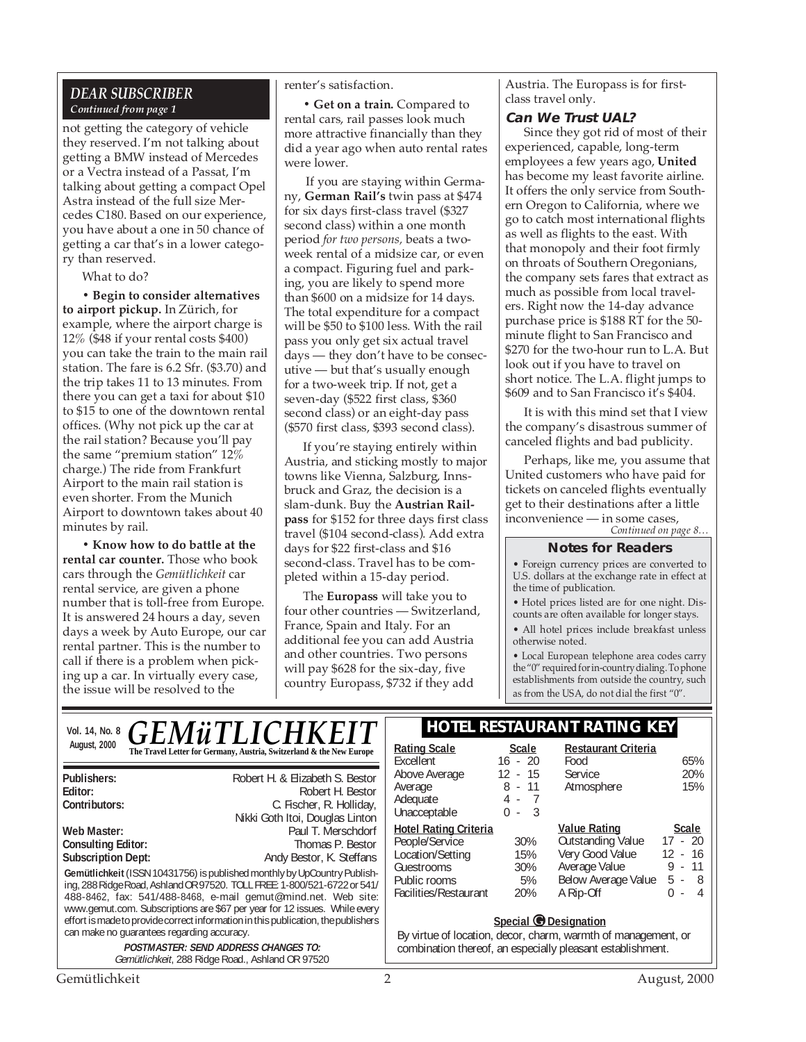### *DEAR SUBSCRIBER Continued from page 1*

not getting the category of vehicle they reserved. I'm not talking about getting a BMW instead of Mercedes or a Vectra instead of a Passat, I'm talking about getting a compact Opel Astra instead of the full size Mercedes C180. Based on our experience, you have about a one in 50 chance of getting a car that's in a lower category than reserved.

What to do?

**• Begin to consider alternatives to airport pickup.** In Zürich, for example, where the airport charge is 12% (\$48 if your rental costs \$400) you can take the train to the main rail station. The fare is 6.2 Sfr. (\$3.70) and the trip takes 11 to 13 minutes. From there you can get a taxi for about \$10 to \$15 to one of the downtown rental offices. (Why not pick up the car at the rail station? Because you'll pay the same "premium station" 12% charge.) The ride from Frankfurt Airport to the main rail station is even shorter. From the Munich Airport to downtown takes about 40 minutes by rail.

**• Know how to do battle at the rental car counter.** Those who book cars through the *Gemütlichkeit* car rental service, are given a phone number that is toll-free from Europe. It is answered 24 hours a day, seven days a week by Auto Europe, our car rental partner. This is the number to call if there is a problem when picking up a car. In virtually every case, the issue will be resolved to the

renter's satisfaction.

**• Get on a train.** Compared to rental cars, rail passes look much more attractive financially than they did a year ago when auto rental rates were lower.

 If you are staying within Germany, **German Rail's** twin pass at \$474 for six days first-class travel (\$327 second class) within a one month period *for two persons,* beats a twoweek rental of a midsize car, or even a compact. Figuring fuel and parking, you are likely to spend more than \$600 on a midsize for 14 days. The total expenditure for a compact will be \$50 to \$100 less. With the rail pass you only get six actual travel days — they don't have to be consecutive — but that's usually enough for a two-week trip. If not, get a seven-day (\$522 first class, \$360 second class) or an eight-day pass (\$570 first class, \$393 second class).

If you're staying entirely within Austria, and sticking mostly to major towns like Vienna, Salzburg, Innsbruck and Graz, the decision is a slam-dunk. Buy the **Austrian Railpass** for \$152 for three days first class travel (\$104 second-class). Add extra days for \$22 first-class and \$16 second-class. Travel has to be completed within a 15-day period.

The **Europass** will take you to four other countries — Switzerland, France, Spain and Italy. For an additional fee you can add Austria and other countries. Two persons will pay \$628 for the six-day, five country Europass, \$732 if they add

Austria. The Europass is for firstclass travel only.

#### **Can We Trust UAL?**

Since they got rid of most of their experienced, capable, long-term employees a few years ago, **United** has become my least favorite airline. It offers the only service from Southern Oregon to California, where we go to catch most international flights as well as flights to the east. With that monopoly and their foot firmly on throats of Southern Oregonians, the company sets fares that extract as much as possible from local travelers. Right now the 14-day advance purchase price is \$188 RT for the 50 minute flight to San Francisco and \$270 for the two-hour run to L.A. But look out if you have to travel on short notice. The L.A. flight jumps to \$609 and to San Francisco it's \$404.

It is with this mind set that I view the company's disastrous summer of canceled flights and bad publicity.

*Continued on page 8…* Perhaps, like me, you assume that United customers who have paid for tickets on canceled flights eventually get to their destinations after a little inconvenience — in some cases,

### **Notes for Readers**

• Foreign currency prices are converted to U.S. dollars at the exchange rate in effect at the time of publication.

• Hotel prices listed are for one night. Discounts are often available for longer stays.

• All hotel prices include breakfast unless otherwise noted.

• Local European telephone area codes carry the "0" required for in-country dialing. To phone establishments from outside the country, such as from the USA, do not dial the first "0".

Vol. 14, No. 8 **C E M ii TI I C H K E I T** | HOTEL RESTAURANT RATING KEY August, 2000 **Ration Contract Contract Contract Contract Contract Contract Contract Contract Contract Contract Contract Contract Contract Contract Contract Contract Contract Contract Contract Contract Contract Contract Con** *GEMüTLICHKEIT*

|                                                                                                                                                                                                                                                                                                                                                                                         |                                                                                 | E)                  |
|-----------------------------------------------------------------------------------------------------------------------------------------------------------------------------------------------------------------------------------------------------------------------------------------------------------------------------------------------------------------------------------------|---------------------------------------------------------------------------------|---------------------|
| Publishers:<br>Editor:<br>Contributors:                                                                                                                                                                                                                                                                                                                                                 | Robert H. & Elizabeth S. Bestor<br>Robert H. Bestor<br>C. Fischer, R. Holliday, | Al<br>A١<br>A۱      |
| Web Master:                                                                                                                                                                                                                                                                                                                                                                             | Nikki Goth Itoi, Douglas Linton<br>Paul T. Merschdorf                           | U                   |
| <b>Consulting Editor:</b><br><b>Subscription Dept:</b>                                                                                                                                                                                                                                                                                                                                  | Thomas P. Bestor<br>Andy Bestor, K. Steffans                                    | $\frac{H}{P}$<br>L( |
| Gemütlichkeit (ISSN 10431756) is published monthly by UpCountry Publish-<br>ing, 288 Ridge Road, Ashland OR 97520. TOLL FREE: 1-800/521-6722 or 541/<br>488-8462, fax: 541/488-8468, e-mail gemut@mind.net. Web site:<br>www.gemut.com. Subscriptions are \$67 per year for 12 issues. While every<br>effort is made to provide correct information in this publication, the publishers |                                                                                 | G<br>Pı<br>Fá       |
| can make no quarantees regarding accuracy.                                                                                                                                                                                                                                                                                                                                              |                                                                                 | E                   |
| <b>POSTMASTER: SEND ADDRESS CHANGES TO:</b><br>Gemütlichkeit, 288 Ridge Road., Ashland OR 97520                                                                                                                                                                                                                                                                                         |                                                                                 | C                   |

| <b>Rating Scale</b>          | <b>Scale</b>            | <b>Restaurant Criteria</b> |              |
|------------------------------|-------------------------|----------------------------|--------------|
| Excellent                    | $16 - 20$               | Food                       | 65%          |
| Above Average                | $12 - 15$               | Service                    | 20%          |
| Average                      | $8 - 11$                | Atmosphere                 | 15%          |
| Adequate                     | 4 - 7                   |                            |              |
| Unacceptable                 | $0 -$<br>$\overline{3}$ |                            |              |
| <b>Hotel Rating Criteria</b> |                         | <b>Value Rating</b>        | <b>Scale</b> |
|                              |                         |                            |              |
| People/Service               | 30%                     | <b>Outstanding Value</b>   | $17 - 20$    |
| Location/Setting             | 15%                     | Very Good Value            | $12 - 16$    |
| Guestrooms                   | 30%                     | Average Value              | $9 - 11$     |
| Public rooms                 | 5%                      | Below Average Value        | 5 -<br>- 8   |
| Facilities/Restaurant        | 20%                     | A Rip-Off                  | 4<br>U       |

### **Special © Designation**

By virtue of location, decor, charm, warmth of management, or combination thereof, an especially pleasant establishment.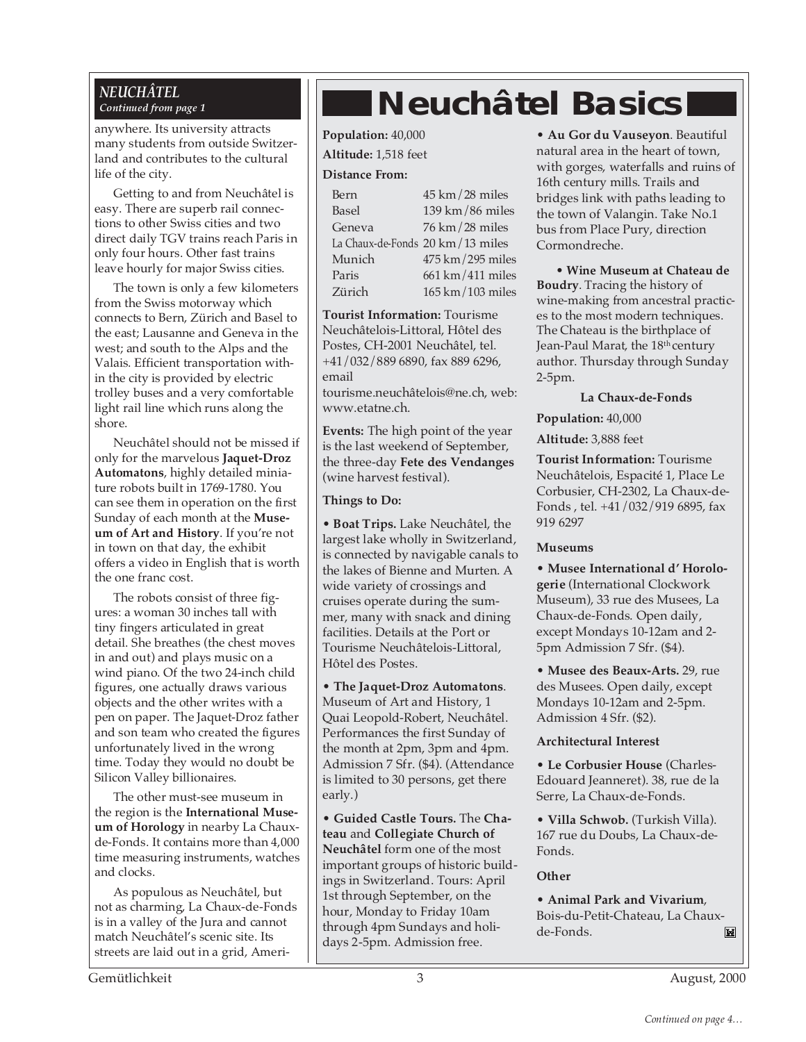### *NEUCHÂTEL Continued from page 1*

anywhere. Its university attracts many students from outside Switzerland and contributes to the cultural life of the city.

Getting to and from Neuchâtel is easy. There are superb rail connections to other Swiss cities and two direct daily TGV trains reach Paris in only four hours. Other fast trains leave hourly for major Swiss cities.

The town is only a few kilometers from the Swiss motorway which connects to Bern, Zürich and Basel to the east; Lausanne and Geneva in the west; and south to the Alps and the Valais. Efficient transportation within the city is provided by electric trolley buses and a very comfortable light rail line which runs along the shore.

Neuchâtel should not be missed if only for the marvelous **Jaquet-Droz Automatons**, highly detailed miniature robots built in 1769-1780. You can see them in operation on the first Sunday of each month at the **Museum of Art and History**. If you're not in town on that day, the exhibit offers a video in English that is worth the one franc cost.

The robots consist of three figures: a woman 30 inches tall with tiny fingers articulated in great detail. She breathes (the chest moves in and out) and plays music on a wind piano. Of the two 24-inch child figures, one actually draws various objects and the other writes with a pen on paper. The Jaquet-Droz father and son team who created the figures unfortunately lived in the wrong time. Today they would no doubt be Silicon Valley billionaires.

The other must-see museum in the region is the **International Museum of Horology** in nearby La Chauxde-Fonds. It contains more than 4,000 time measuring instruments, watches and clocks.

As populous as Neuchâtel, but not as charming, La Chaux-de-Fonds is in a valley of the Jura and cannot match Neuchâtel's scenic site. Its streets are laid out in a grid, Ameri-

### **Neuchâtel Basics**

**Population:** 40,000 **Altitude:** 1,518 feet **Distance From:**

| Bern         | $45 \text{ km} / 28 \text{ miles}$  |
|--------------|-------------------------------------|
| <b>Basel</b> | $139 \text{ km} / 86 \text{ miles}$ |
| Geneva       | $76 \text{ km}/28 \text{ miles}$    |
|              | La Chaux-de-Fonds 20 km/13 miles    |
| Munich       | 475 km / 295 miles                  |
| Paris        | $661 \text{ km}/411 \text{ miles}$  |
| Zürich       | $165 \text{ km}/103 \text{ miles}$  |

**Tourist Information:** Tourisme Neuchâtelois-Littoral, Hôtel des Postes, CH-2001 Neuchâtel, tel. +41/032/889 6890, fax 889 6296, email tourisme.neuchâtelois@ne.ch, web: www.etatne.ch.

**Events:** The high point of the year is the last weekend of September, the three-day **Fete des Vendanges** (wine harvest festival).

### **Things to Do:**

• **Boat Trips.** Lake Neuchâtel, the largest lake wholly in Switzerland, is connected by navigable canals to the lakes of Bienne and Murten. A wide variety of crossings and cruises operate during the summer, many with snack and dining facilities. Details at the Port or Tourisme Neuchâtelois-Littoral, Hôtel des Postes.

• **The Jaquet-Droz Automatons**. Museum of Art and History, 1 Quai Leopold-Robert, Neuchâtel. Performances the first Sunday of the month at 2pm, 3pm and 4pm. Admission 7 Sfr. (\$4). (Attendance is limited to 30 persons, get there early.)

• **Guided Castle Tours.** The **Chateau** and **Collegiate Church of Neuchâtel** form one of the most important groups of historic buildings in Switzerland. Tours: April 1st through September, on the hour, Monday to Friday 10am through 4pm Sundays and holidays 2-5pm. Admission free.

• **Au Gor du Vauseyon**. Beautiful natural area in the heart of town, with gorges, waterfalls and ruins of 16th century mills. Trails and bridges link with paths leading to the town of Valangin. Take No.1 bus from Place Pury, direction Cormondreche.

• **Wine Museum at Chateau de Boudry**. Tracing the history of wine-making from ancestral practices to the most modern techniques. The Chateau is the birthplace of Jean-Paul Marat, the 18<sup>th</sup> century author. Thursday through Sunday 2-5pm.

### **La Chaux-de-Fonds**

**Population:** 40,000

**Altitude:** 3,888 feet

**Tourist Information:** Tourisme Neuchâtelois, Espacité 1, Place Le Corbusier, CH-2302, La Chaux-de-Fonds , tel. +41/032/919 6895, fax 919 6297

### **Museums**

• **Musee International d' Horologerie** (International Clockwork Museum), 33 rue des Musees, La Chaux-de-Fonds. Open daily, except Mondays 10-12am and 2- 5pm Admission 7 Sfr. (\$4).

• **Musee des Beaux-Arts.** 29, rue des Musees. Open daily, except Mondays 10-12am and 2-5pm. Admission 4 Sfr. (\$2).

### **Architectural Interest**

• **Le Corbusier House** (Charles-Edouard Jeanneret). 38, rue de la Serre, La Chaux-de-Fonds.

• **Villa Schwob.** (Turkish Villa). 167 rue du Doubs, La Chaux-de-Fonds.

### **Other**

• **Animal Park and Vivarium**, Bois-du-Petit-Chateau, La Chauxde-Fonds. $\blacksquare$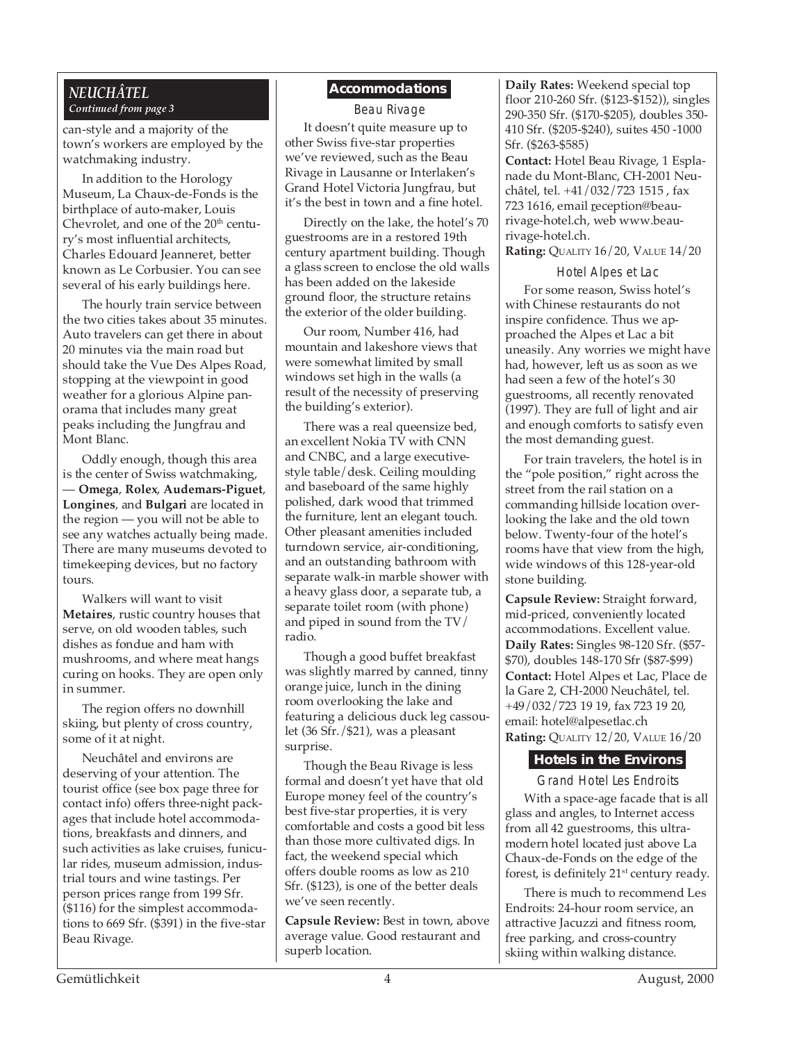### *NEUCHÂTEL Continued from page 3*

can-style and a majority of the town's workers are employed by the watchmaking industry.

In addition to the Horology Museum, La Chaux-de-Fonds is the birthplace of auto-maker, Louis Chevrolet, and one of the 20<sup>th</sup> century's most influential architects, Charles Edouard Jeanneret, better known as Le Corbusier. You can see several of his early buildings here.

The hourly train service between the two cities takes about 35 minutes. Auto travelers can get there in about 20 minutes via the main road but should take the Vue Des Alpes Road, stopping at the viewpoint in good weather for a glorious Alpine panorama that includes many great peaks including the Jungfrau and Mont Blanc.

Oddly enough, though this area is the center of Swiss watchmaking, — **Omega**, **Rolex**, **Audemars-Piguet**, **Longines**, and **Bulgari** are located in the region — you will not be able to see any watches actually being made. There are many museums devoted to timekeeping devices, but no factory tours.

Walkers will want to visit **Metaires**, rustic country houses that serve, on old wooden tables, such dishes as fondue and ham with mushrooms, and where meat hangs curing on hooks. They are open only in summer.

The region offers no downhill skiing, but plenty of cross country, some of it at night.

Neuchâtel and environs are deserving of your attention. The tourist office (see box page three for contact info) offers three-night packages that include hotel accommodations, breakfasts and dinners, and such activities as lake cruises, funicular rides, museum admission, industrial tours and wine tastings. Per person prices range from 199 Sfr. (\$116) for the simplest accommodations to 669 Sfr. (\$391) in the five-star Beau Rivage.

### **Accommodations**

Beau Rivage

It doesn't quite measure up to other Swiss five-star properties we've reviewed, such as the Beau Rivage in Lausanne or Interlaken's Grand Hotel Victoria Jungfrau, but it's the best in town and a fine hotel.

Directly on the lake, the hotel's 70 guestrooms are in a restored 19th century apartment building. Though a glass screen to enclose the old walls has been added on the lakeside ground floor, the structure retains the exterior of the older building.

Our room, Number 416, had mountain and lakeshore views that were somewhat limited by small windows set high in the walls (a result of the necessity of preserving the building's exterior).

There was a real queensize bed, an excellent Nokia TV with CNN and CNBC, and a large executivestyle table/desk. Ceiling moulding and baseboard of the same highly polished, dark wood that trimmed the furniture, lent an elegant touch. Other pleasant amenities included turndown service, air-conditioning, and an outstanding bathroom with separate walk-in marble shower with a heavy glass door, a separate tub, a separate toilet room (with phone) and piped in sound from the TV/ radio.

Though a good buffet breakfast was slightly marred by canned, tinny orange juice, lunch in the dining room overlooking the lake and featuring a delicious duck leg cassoulet (36 Sfr./\$21), was a pleasant surprise.

Though the Beau Rivage is less formal and doesn't yet have that old Europe money feel of the country's best five-star properties, it is very comfortable and costs a good bit less than those more cultivated digs. In fact, the weekend special which offers double rooms as low as 210 Sfr. (\$123), is one of the better deals we've seen recently.

**Capsule Review:** Best in town, above average value. Good restaurant and superb location.

**Daily Rates:** Weekend special top floor 210-260 Sfr. (\$123-\$152)), singles 290-350 Sfr. (\$170-\$205), doubles 350- 410 Sfr. (\$205-\$240), suites 450 -1000 Sfr. (\$263-\$585)

**Contact:** Hotel Beau Rivage, 1 Esplanade du Mont-Blanc, CH-2001 Neuchâtel, tel. +41/032/723 1515 , fax 723 1616, email reception@beaurivage-hotel.ch, web www.beaurivage-hotel.ch.

**Rating:** QUALITY 16/20, VALUE 14/20

### Hotel Alpes et Lac

For some reason, Swiss hotel's with Chinese restaurants do not inspire confidence. Thus we approached the Alpes et Lac a bit uneasily. Any worries we might have had, however, left us as soon as we had seen a few of the hotel's 30 guestrooms, all recently renovated (1997). They are full of light and air and enough comforts to satisfy even the most demanding guest.

For train travelers, the hotel is in the "pole position," right across the street from the rail station on a commanding hillside location overlooking the lake and the old town below. Twenty-four of the hotel's rooms have that view from the high, wide windows of this 128-year-old stone building.

**Capsule Review:** Straight forward, mid-priced, conveniently located accommodations. Excellent value. **Daily Rates:** Singles 98-120 Sfr. (\$57- \$70), doubles 148-170 Sfr (\$87-\$99) **Contact:** Hotel Alpes et Lac, Place de la Gare 2, CH-2000 Neuchâtel, tel. +49/032/723 19 19, fax 723 19 20, email: hotel@alpesetlac.ch **Rating:** QUALITY 12/20, VALUE 16/20

### **Hotels in the Environs**

Grand Hotel Les Endroits With a space-age facade that is all glass and angles, to Internet access from all 42 guestrooms, this ultramodern hotel located just above La Chaux-de-Fonds on the edge of the forest, is definitely 21<sup>st</sup> century ready.

There is much to recommend Les Endroits: 24-hour room service, an attractive Jacuzzi and fitness room, free parking, and cross-country skiing within walking distance.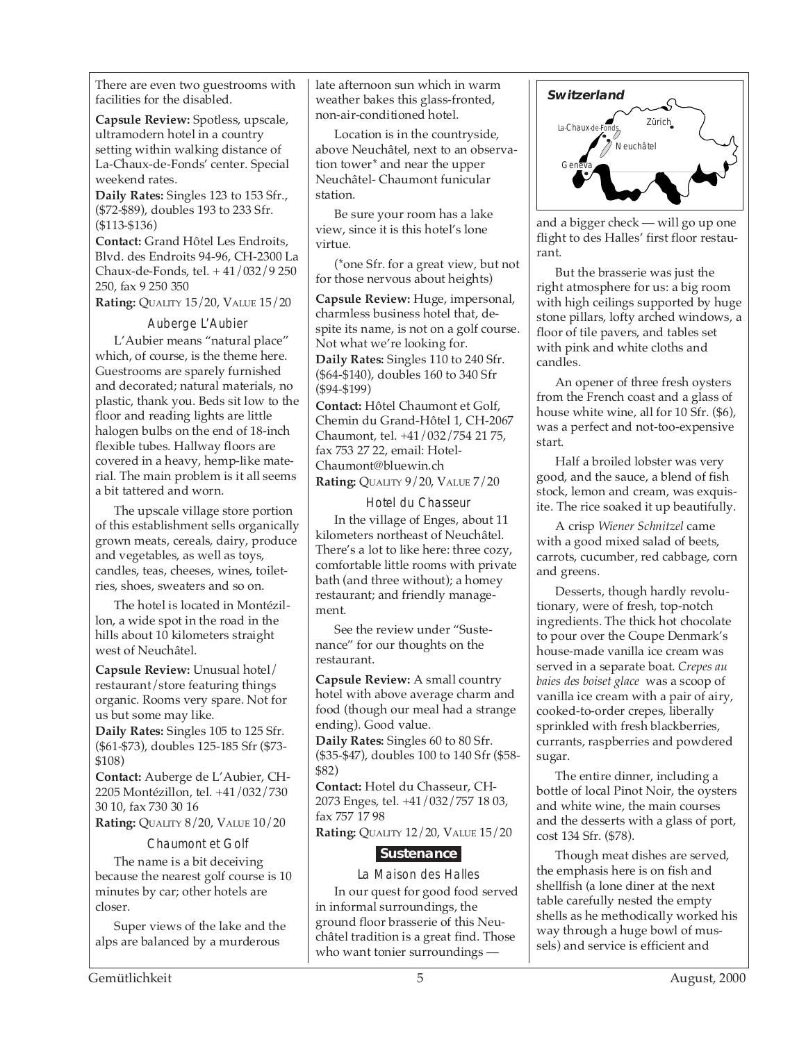There are even two guestrooms with facilities for the disabled.

**Capsule Review:** Spotless, upscale, ultramodern hotel in a country setting within walking distance of La-Chaux-de-Fonds' center. Special weekend rates.

**Daily Rates:** Singles 123 to 153 Sfr., (\$72-\$89), doubles 193 to 233 Sfr. (\$113-\$136)

**Contact:** Grand Hôtel Les Endroits, Blvd. des Endroits 94-96, CH-2300 La Chaux-de-Fonds, tel. + 41/032/9 250 250, fax 9 250 350

**Rating:** QUALITY 15/20, VALUE 15/20

Auberge L'Aubier

L'Aubier means "natural place" which, of course, is the theme here. Guestrooms are sparely furnished and decorated; natural materials, no plastic, thank you. Beds sit low to the floor and reading lights are little halogen bulbs on the end of 18-inch flexible tubes. Hallway floors are covered in a heavy, hemp-like material. The main problem is it all seems a bit tattered and worn.

The upscale village store portion of this establishment sells organically grown meats, cereals, dairy, produce and vegetables, as well as toys, candles, teas, cheeses, wines, toiletries, shoes, sweaters and so on.

The hotel is located in Montézillon, a wide spot in the road in the hills about 10 kilometers straight west of Neuchâtel.

**Capsule Review:** Unusual hotel/ restaurant/store featuring things organic. Rooms very spare. Not for us but some may like.

**Daily Rates:** Singles 105 to 125 Sfr. (\$61-\$73), doubles 125-185 Sfr (\$73- \$108)

**Contact:** Auberge de L'Aubier, CH-2205 Montézillon, tel. +41/032/730 30 10, fax 730 30 16

**Rating:** QUALITY 8/20, VALUE 10/20

Chaumont et Golf The name is a bit deceiving because the nearest golf course is 10 minutes by car; other hotels are closer.

Super views of the lake and the alps are balanced by a murderous

late afternoon sun which in warm weather bakes this glass-fronted, non-air-conditioned hotel.

Location is in the countryside, above Neuchâtel, next to an observation tower\* and near the upper Neuchâtel- Chaumont funicular station.

Be sure your room has a lake view, since it is this hotel's lone virtue.

(\*one Sfr. for a great view, but not for those nervous about heights)

**Capsule Review:** Huge, impersonal, charmless business hotel that, despite its name, is not on a golf course. Not what we're looking for. **Daily Rates:** Singles 110 to 240 Sfr. (\$64-\$140), doubles 160 to 340 Sfr (\$94-\$199)

**Contact:** Hôtel Chaumont et Golf, Chemin du Grand-Hôtel 1, CH-2067 Chaumont, tel. +41/032/754 21 75, fax 753 27 22, email: Hotel-Chaumont@bluewin.ch **Rating:** QUALITY 9/20, VALUE 7/20

Hotel du Chasseur In the village of Enges, about 11 kilometers northeast of Neuchâtel. There's a lot to like here: three cozy, comfortable little rooms with private bath (and three without); a homey restaurant; and friendly management.

See the review under "Sustenance" for our thoughts on the restaurant.

**Capsule Review:** A small country hotel with above average charm and food (though our meal had a strange ending). Good value. **Daily Rates:** Singles 60 to 80 Sfr.

(\$35-\$47), doubles 100 to 140 Sfr (\$58- \$82)

**Contact:** Hotel du Chasseur, CH-2073 Enges, tel. +41/032/757 18 03, fax 757 17 98

**Rating:** QUALITY 12/20, VALUE 15/20

### **Sustenance**

La Maison des Halles

In our quest for good food served in informal surroundings, the ground floor brasserie of this Neuchâtel tradition is a great find. Those who want tonier surroundings —



and a bigger check — will go up one flight to des Halles' first floor restaurant.

But the brasserie was just the right atmosphere for us: a big room with high ceilings supported by huge stone pillars, lofty arched windows, a floor of tile pavers, and tables set with pink and white cloths and candles.

An opener of three fresh oysters from the French coast and a glass of house white wine, all for 10 Sfr. (\$6), was a perfect and not-too-expensive start.

Half a broiled lobster was very good, and the sauce, a blend of fish stock, lemon and cream, was exquisite. The rice soaked it up beautifully.

A crisp *Wiener Schnitzel* came with a good mixed salad of beets, carrots, cucumber, red cabbage, corn and greens.

Desserts, though hardly revolutionary, were of fresh, top-notch ingredients. The thick hot chocolate to pour over the Coupe Denmark's house-made vanilla ice cream was served in a separate boat. *Crepes au baies des boiset glace* was a scoop of vanilla ice cream with a pair of airy, cooked-to-order crepes, liberally sprinkled with fresh blackberries, currants, raspberries and powdered sugar.

The entire dinner, including a bottle of local Pinot Noir, the oysters and white wine, the main courses and the desserts with a glass of port, cost 134 Sfr. (\$78).

Though meat dishes are served, the emphasis here is on fish and shellfish (a lone diner at the next table carefully nested the empty shells as he methodically worked his way through a huge bowl of mussels) and service is efficient and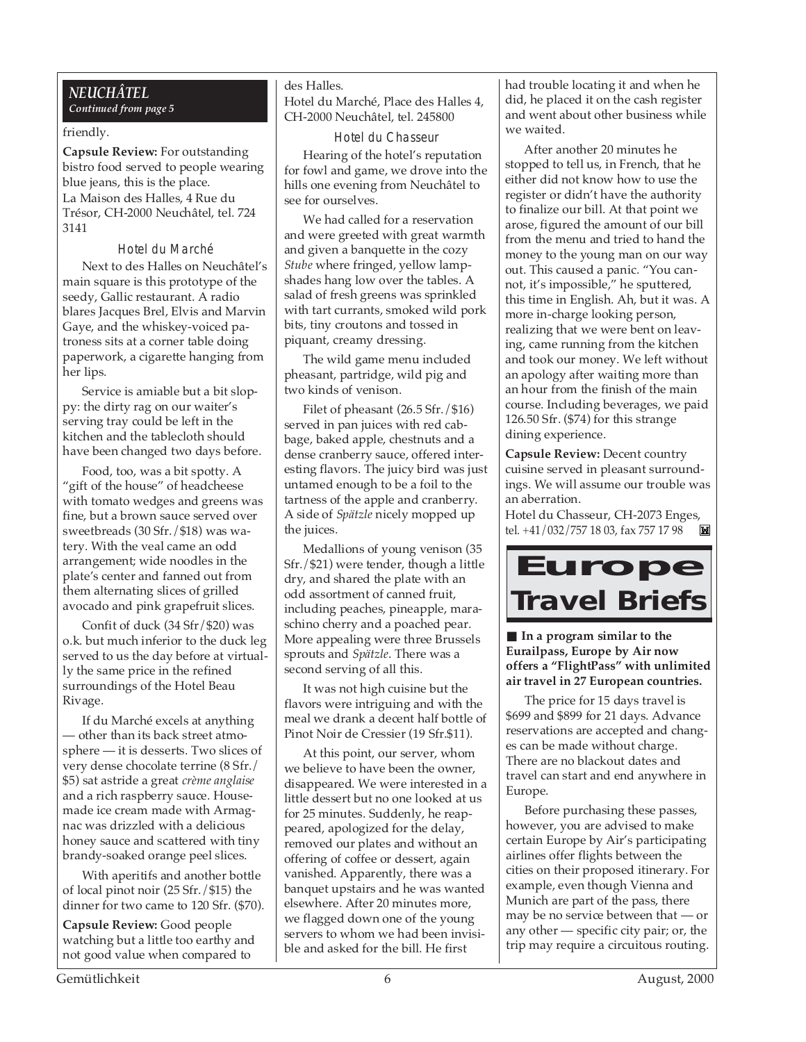### *NEUCHÂTEL*

*Continued from page 5*

### friendly.

**Capsule Review:** For outstanding bistro food served to people wearing blue jeans, this is the place. La Maison des Halles, 4 Rue du Trésor, CH-2000 Neuchâtel, tel. 724 3141

### Hotel du Marché

Next to des Halles on Neuchâtel's main square is this prototype of the seedy, Gallic restaurant. A radio blares Jacques Brel, Elvis and Marvin Gaye, and the whiskey-voiced patroness sits at a corner table doing paperwork, a cigarette hanging from her lips.

Service is amiable but a bit sloppy: the dirty rag on our waiter's serving tray could be left in the kitchen and the tablecloth should have been changed two days before.

Food, too, was a bit spotty. A "gift of the house" of headcheese with tomato wedges and greens was fine, but a brown sauce served over sweetbreads (30 Sfr./\$18) was watery. With the veal came an odd arrangement; wide noodles in the plate's center and fanned out from them alternating slices of grilled avocado and pink grapefruit slices.

Confit of duck (34 Sfr/\$20) was o.k. but much inferior to the duck leg served to us the day before at virtually the same price in the refined surroundings of the Hotel Beau Rivage.

If du Marché excels at anything — other than its back street atmosphere — it is desserts. Two slices of very dense chocolate terrine (8 Sfr./ \$5) sat astride a great *crème anglaise* and a rich raspberry sauce. Housemade ice cream made with Armagnac was drizzled with a delicious honey sauce and scattered with tiny brandy-soaked orange peel slices.

With aperitifs and another bottle of local pinot noir (25 Sfr./\$15) the dinner for two came to 120 Sfr. (\$70).

**Capsule Review:** Good people watching but a little too earthy and not good value when compared to

### des Halles. Hotel du Marché, Place des Halles 4, CH-2000 Neuchâtel, tel. 245800

Hotel du Chasseur

Hearing of the hotel's reputation for fowl and game, we drove into the hills one evening from Neuchâtel to see for ourselves.

We had called for a reservation and were greeted with great warmth and given a banquette in the cozy *Stube* where fringed, yellow lampshades hang low over the tables. A salad of fresh greens was sprinkled with tart currants, smoked wild pork bits, tiny croutons and tossed in piquant, creamy dressing.

The wild game menu included pheasant, partridge, wild pig and two kinds of venison.

Filet of pheasant (26.5 Sfr./\$16) served in pan juices with red cabbage, baked apple, chestnuts and a dense cranberry sauce, offered interesting flavors. The juicy bird was just untamed enough to be a foil to the tartness of the apple and cranberry. A side of *Spätzle* nicely mopped up the juices.

Medallions of young venison (35 Sfr./\$21) were tender, though a little dry, and shared the plate with an odd assortment of canned fruit, including peaches, pineapple, maraschino cherry and a poached pear. More appealing were three Brussels sprouts and *Spätzle*. There was a second serving of all this.

It was not high cuisine but the flavors were intriguing and with the meal we drank a decent half bottle of Pinot Noir de Cressier (19 Sfr.\$11).

At this point, our server, whom we believe to have been the owner, disappeared. We were interested in a little dessert but no one looked at us for 25 minutes. Suddenly, he reappeared, apologized for the delay, removed our plates and without an offering of coffee or dessert, again vanished. Apparently, there was a banquet upstairs and he was wanted elsewhere. After 20 minutes more, we flagged down one of the young servers to whom we had been invisible and asked for the bill. He first

had trouble locating it and when he did, he placed it on the cash register and went about other business while we waited.

After another 20 minutes he stopped to tell us, in French, that he either did not know how to use the register or didn't have the authority to finalize our bill. At that point we arose, figured the amount of our bill from the menu and tried to hand the money to the young man on our way out. This caused a panic. "You cannot, it's impossible," he sputtered, this time in English. Ah, but it was. A more in-charge looking person, realizing that we were bent on leaving, came running from the kitchen and took our money. We left without an apology after waiting more than an hour from the finish of the main course. Including beverages, we paid 126.50 Sfr. (\$74) for this strange dining experience.

**Capsule Review:** Decent country cuisine served in pleasant surroundings. We will assume our trouble was an aberration.

Hotel du Chasseur, CH-2073 Enges, tel. +41/032/757 18 03, fax 757 17 98

### **Europe Travel Briefs**

■ In a program similar to the **Eurailpass, Europe by Air now offers a "FlightPass" with unlimited air travel in 27 European countries.**

The price for 15 days travel is \$699 and \$899 for 21 days. Advance reservations are accepted and changes can be made without charge. There are no blackout dates and travel can start and end anywhere in Europe.

Before purchasing these passes, however, you are advised to make certain Europe by Air's participating airlines offer flights between the cities on their proposed itinerary. For example, even though Vienna and Munich are part of the pass, there may be no service between that — or any other — specific city pair; or, the trip may require a circuitous routing.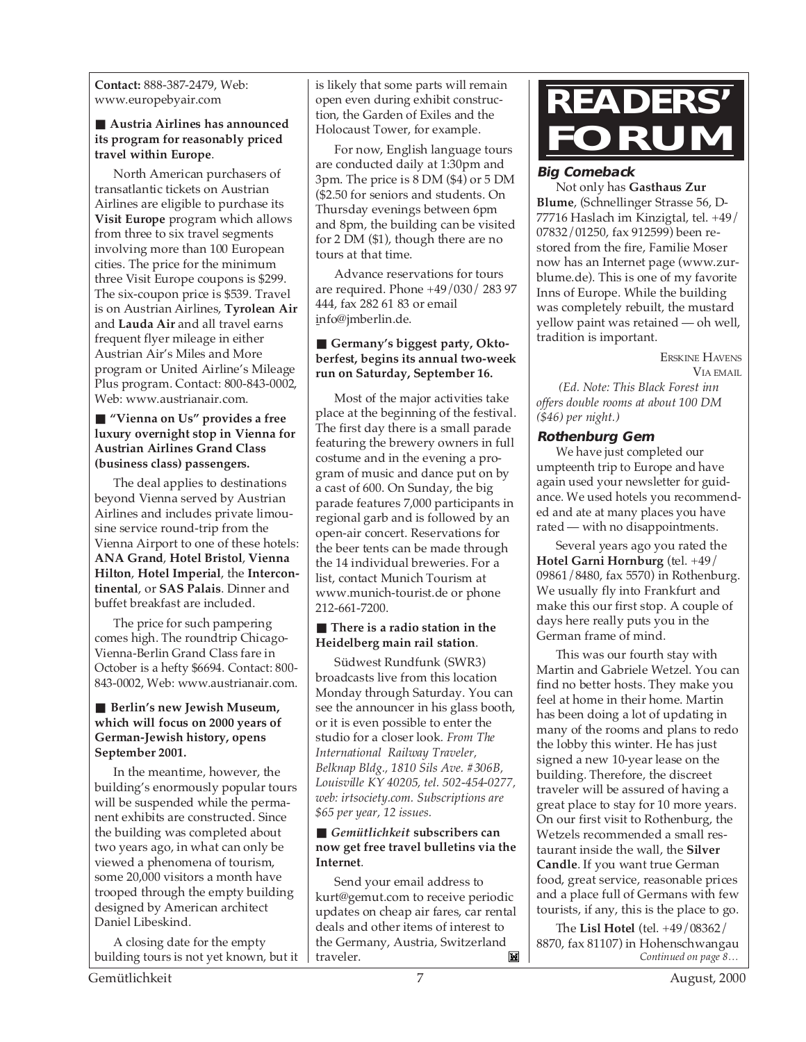**Contact:** 888-387-2479, Web: www.europebyair.com

### ■ Austria Airlines has announced **its program for reasonably priced travel within Europe**.

North American purchasers of transatlantic tickets on Austrian Airlines are eligible to purchase its **Visit Europe** program which allows from three to six travel segments involving more than 100 European cities. The price for the minimum three Visit Europe coupons is \$299. The six-coupon price is \$539. Travel is on Austrian Airlines, **Tyrolean Air** and **Lauda Air** and all travel earns frequent flyer mileage in either Austrian Air's Miles and More program or United Airline's Mileage Plus program. Contact: 800-843-0002, Web: www.austrianair.com.

### ■ **"Vienna on Us" provides a free luxury overnight stop in Vienna for Austrian Airlines Grand Class (business class) passengers.**

The deal applies to destinations beyond Vienna served by Austrian Airlines and includes private limousine service round-trip from the Vienna Airport to one of these hotels: **ANA Grand**, **Hotel Bristol**, **Vienna Hilton**, **Hotel Imperial**, the **Intercontinental**, or **SAS Palais**. Dinner and buffet breakfast are included.

The price for such pampering comes high. The roundtrip Chicago-Vienna-Berlin Grand Class fare in October is a hefty \$6694. Contact: 800- 843-0002, Web: www.austrianair.com.

#### ■ **Berlin's new Jewish Museum**, **which will focus on 2000 years of German-Jewish history, opens September 2001.**

In the meantime, however, the building's enormously popular tours will be suspended while the permanent exhibits are constructed. Since the building was completed about two years ago, in what can only be viewed a phenomena of tourism, some 20,000 visitors a month have trooped through the empty building designed by American architect Daniel Libeskind.

A closing date for the empty building tours is not yet known, but it is likely that some parts will remain open even during exhibit construction, the Garden of Exiles and the Holocaust Tower, for example.

For now, English language tours are conducted daily at 1:30pm and 3pm. The price is 8 DM (\$4) or 5 DM (\$2.50 for seniors and students. On Thursday evenings between 6pm and 8pm, the building can be visited for 2 DM (\$1), though there are no tours at that time.

Advance reservations for tours are required. Phone +49/030/ 283 97 444, fax 282 61 83 or email info@jmberlin.de.

### ■ Germany's biggest party, Okto**berfest, begins its annual two-week run on Saturday, September 16.**

Most of the major activities take place at the beginning of the festival. The first day there is a small parade featuring the brewery owners in full costume and in the evening a program of music and dance put on by a cast of 600. On Sunday, the big parade features 7,000 participants in regional garb and is followed by an open-air concert. Reservations for the beer tents can be made through the 14 individual breweries. For a list, contact Munich Tourism at www.munich-tourist.de or phone 212-661-7200.

### ■ There is a radio station in the **Heidelberg main rail station**.

Südwest Rundfunk (SWR3) broadcasts live from this location Monday through Saturday. You can see the announcer in his glass booth, or it is even possible to enter the studio for a closer look*. From The International Railway Traveler, Belknap Bldg., 1810 Sils Ave. #306B, Louisville KY 40205, tel. 502-454-0277, web: irtsociety.com. Subscriptions are \$65 per year, 12 issues.*

### ■ *Gemütlichkeit* subscribers can **now get free travel bulletins via the Internet**.

Send your email address to kurt@gemut.com to receive periodic updates on cheap air fares, car rental deals and other items of interest to the Germany, Austria, Switzerland traveler. M

## **READERS' FORUM**

### **Big Comeback**

Not only has **Gasthaus Zur Blume**, (Schnellinger Strasse 56, D-77716 Haslach im Kinzigtal, tel. +49/ 07832/01250, fax 912599) been restored from the fire, Familie Moser now has an Internet page (www.zurblume.de). This is one of my favorite Inns of Europe. While the building was completely rebuilt, the mustard yellow paint was retained — oh well, tradition is important.

> ERSKINE HAVENS VIA EMAIL

 *(Ed. Note: This Black Forest inn offers double rooms at about 100 DM (\$46) per night.)*

### **Rothenburg Gem**

We have just completed our umpteenth trip to Europe and have again used your newsletter for guidance. We used hotels you recommended and ate at many places you have rated — with no disappointments.

Several years ago you rated the **Hotel Garni Hornburg** (tel. +49/ 09861/8480, fax 5570) in Rothenburg. We usually fly into Frankfurt and make this our first stop. A couple of days here really puts you in the German frame of mind.

This was our fourth stay with Martin and Gabriele Wetzel. You can find no better hosts. They make you feel at home in their home. Martin has been doing a lot of updating in many of the rooms and plans to redo the lobby this winter. He has just signed a new 10-year lease on the building. Therefore, the discreet traveler will be assured of having a great place to stay for 10 more years. On our first visit to Rothenburg, the Wetzels recommended a small restaurant inside the wall, the **Silver Candle**. If you want true German food, great service, reasonable prices and a place full of Germans with few tourists, if any, this is the place to go.

The **Lisl Hotel** (tel. +49/08362/ 8870, fax 81107) in Hohenschwangau *Continued on page 8…*